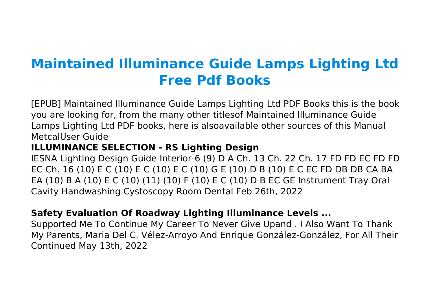# **Maintained Illuminance Guide Lamps Lighting Ltd Free Pdf Books**

[EPUB] Maintained Illuminance Guide Lamps Lighting Ltd PDF Books this is the book you are looking for, from the many other titlesof Maintained Illuminance Guide Lamps Lighting Ltd PDF books, here is alsoavailable other sources of this Manual MetcalUser Guide

# **ILLUMINANCE SELECTION - RS Lighting Design**

IESNA Lighting Design Guide Interior-6 (9) D A Ch. 13 Ch. 22 Ch. 17 FD FD EC FD FD EC Ch. 16 (10) E C (10) E C (10) E C (10) G E (10) D B (10) E C EC FD DB DB CA BA EA (10) B A (10) E C (10) (11) (10) F (10) E C (10) D B EC GE Instrument Tray Oral Cavity Handwashing Cystoscopy Room Dental Feb 26th, 2022

# **Safety Evaluation Of Roadway Lighting Illuminance Levels ...**

Supported Me To Continue My Career To Never Give Upand . I Also Want To Thank My Parents, Maria Del C. Vélez-Arroyo And Enrique González-González, For All Their Continued May 13th, 2022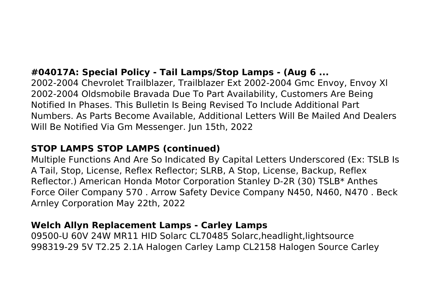# **#04017A: Special Policy - Tail Lamps/Stop Lamps - (Aug 6 ...**

2002-2004 Chevrolet Trailblazer, Trailblazer Ext 2002-2004 Gmc Envoy, Envoy Xl 2002-2004 Oldsmobile Bravada Due To Part Availability, Customers Are Being Notified In Phases. This Bulletin Is Being Revised To Include Additional Part Numbers. As Parts Become Available, Additional Letters Will Be Mailed And Dealers Will Be Notified Via Gm Messenger. Jun 15th, 2022

# **STOP LAMPS STOP LAMPS (continued)**

Multiple Functions And Are So Indicated By Capital Letters Underscored (Ex: TSLB Is A Tail, Stop, License, Reflex Reflector; SLRB, A Stop, License, Backup, Reflex Reflector.) American Honda Motor Corporation Stanley D-2R (30) TSLB\* Anthes Force Oiler Company 570 . Arrow Safety Device Company N450, N460, N470 . Beck Arnley Corporation May 22th, 2022

#### **Welch Allyn Replacement Lamps - Carley Lamps**

09500-U 60V 24W MR11 HID Solarc CL70485 Solarc,headlight,lightsource 998319-29 5V T2.25 2.1A Halogen Carley Lamp CL2158 Halogen Source Carley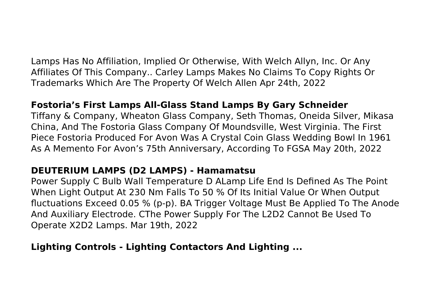Lamps Has No Affiliation, Implied Or Otherwise, With Welch Allyn, Inc. Or Any Affiliates Of This Company.. Carley Lamps Makes No Claims To Copy Rights Or Trademarks Which Are The Property Of Welch Allen Apr 24th, 2022

#### **Fostoria's First Lamps All-Glass Stand Lamps By Gary Schneider**

Tiffany & Company, Wheaton Glass Company, Seth Thomas, Oneida Silver, Mikasa China, And The Fostoria Glass Company Of Moundsville, West Virginia. The First Piece Fostoria Produced For Avon Was A Crystal Coin Glass Wedding Bowl In 1961 As A Memento For Avon's 75th Anniversary, According To FGSA May 20th, 2022

#### **DEUTERIUM LAMPS (D2 LAMPS) - Hamamatsu**

Power Supply C Bulb Wall Temperature D ALamp Life End Is Defined As The Point When Light Output At 230 Nm Falls To 50 % Of Its Initial Value Or When Output fluctuations Exceed 0.05 % (p-p). BA Trigger Voltage Must Be Applied To The Anode And Auxiliary Electrode. CThe Power Supply For The L2D2 Cannot Be Used To Operate X2D2 Lamps. Mar 19th, 2022

#### **Lighting Controls - Lighting Contactors And Lighting ...**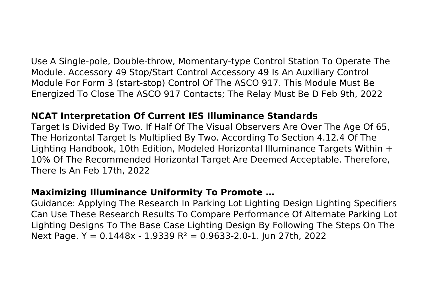Use A Single-pole, Double-throw, Momentary-type Control Station To Operate The Module. Accessory 49 Stop/Start Control Accessory 49 Is An Auxiliary Control Module For Form 3 (start-stop) Control Of The ASCO 917. This Module Must Be Energized To Close The ASCO 917 Contacts; The Relay Must Be D Feb 9th, 2022

#### **NCAT Interpretation Of Current IES Illuminance Standards**

Target Is Divided By Two. If Half Of The Visual Observers Are Over The Age Of 65, The Horizontal Target Is Multiplied By Two. According To Section 4.12.4 Of The Lighting Handbook, 10th Edition, Modeled Horizontal Illuminance Targets Within + 10% Of The Recommended Horizontal Target Are Deemed Acceptable. Therefore, There Is An Feb 17th, 2022

#### **Maximizing Illuminance Uniformity To Promote …**

Guidance: Applying The Research In Parking Lot Lighting Design Lighting Specifiers Can Use These Research Results To Compare Performance Of Alternate Parking Lot Lighting Designs To The Base Case Lighting Design By Following The Steps On The Next Page. Y =  $0.1448x - 1.9339$  R<sup>2</sup> =  $0.9633 - 2.0 - 1$ . Jun 27th, 2022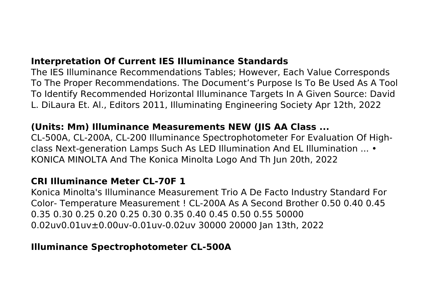## **Interpretation Of Current IES Illuminance Standards**

The IES Illuminance Recommendations Tables; However, Each Value Corresponds To The Proper Recommendations. The Document's Purpose Is To Be Used As A Tool To Identify Recommended Horizontal Illuminance Targets In A Given Source: David L. DiLaura Et. Al., Editors 2011, Illuminating Engineering Society Apr 12th, 2022

#### **(Units: Mm) Illuminance Measurements NEW (JIS AA Class ...**

CL-500A, CL-200A, CL-200 Illuminance Spectrophotometer For Evaluation Of Highclass Next-generation Lamps Such As LED Illumination And EL Illumination ... • KONICA MINOLTA And The Konica Minolta Logo And Th Jun 20th, 2022

# **CRI Illuminance Meter CL-70F 1**

Konica Minolta's Illuminance Measurement Trio A De Facto Industry Standard For Color- Temperature Measurement ! CL-200A As A Second Brother 0.50 0.40 0.45 0.35 0.30 0.25 0.20 0.25 0.30 0.35 0.40 0.45 0.50 0.55 50000 0.02uv0.01uv±0.00uv-0.01uv-0.02uv 30000 20000 Jan 13th, 2022

#### **Illuminance Spectrophotometer CL-500A**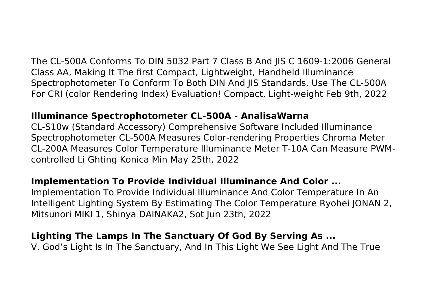The CL-500A Conforms To DIN 5032 Part 7 Class B And JIS C 1609-1:2006 General Class AA, Making It The first Compact, Lightweight, Handheld Illuminance Spectrophotometer To Conform To Both DIN And JIS Standards. Use The CL-500A For CRI (color Rendering Index) Evaluation! Compact, Light-weight Feb 9th, 2022

#### **Illuminance Spectrophotometer CL-500A - AnalisaWarna**

CL-S10w (Standard Accessory) Comprehensive Software Included Illuminance Spectrophotometer CL-500A Measures Color-rendering Properties Chroma Meter CL-200A Measures Color Temperature Illuminance Meter T-10A Can Measure PWMcontrolled Li Ghting Konica Min May 25th, 2022

# **Implementation To Provide Individual Illuminance And Color ...**

Implementation To Provide Individual Illuminance And Color Temperature In An Intelligent Lighting System By Estimating The Color Temperature Ryohei JONAN 2, Mitsunori MIKI 1, Shinya DAINAKA2, Sot Jun 23th, 2022

# **Lighting The Lamps In The Sanctuary Of God By Serving As ...**

V. God's Light Is In The Sanctuary, And In This Light We See Light And The True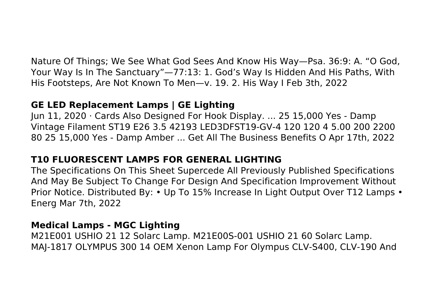Nature Of Things; We See What God Sees And Know His Way—Psa. 36:9: A. "O God, Your Way Is In The Sanctuary"—77:13: 1. God's Way Is Hidden And His Paths, With His Footsteps, Are Not Known To Men—v. 19. 2. His Way I Feb 3th, 2022

# **GE LED Replacement Lamps | GE Lighting**

Jun 11, 2020 · Cards Also Designed For Hook Display. ... 25 15,000 Yes - Damp Vintage Filament ST19 E26 3.5 42193 LED3DFST19-GV-4 120 120 4 5.00 200 2200 80 25 15,000 Yes - Damp Amber ... Get All The Business Benefits O Apr 17th, 2022

# **T10 FLUORESCENT LAMPS FOR GENERAL LIGHTING**

The Specifications On This Sheet Supercede All Previously Published Specifications And May Be Subject To Change For Design And Specification Improvement Without Prior Notice. Distributed By: • Up To 15% Increase In Light Output Over T12 Lamps • Energ Mar 7th, 2022

#### **Medical Lamps - MGC Lighting**

M21E001 USHIO 21 12 Solarc Lamp. M21E00S-001 USHIO 21 60 Solarc Lamp. MAJ-1817 OLYMPUS 300 14 OEM Xenon Lamp For Olympus CLV-S400, CLV-190 And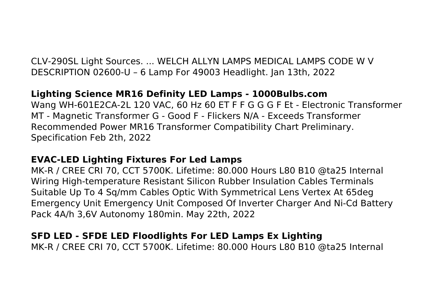CLV-290SL Light Sources. ... WELCH ALLYN LAMPS MEDICAL LAMPS CODE W V DESCRIPTION 02600-U – 6 Lamp For 49003 Headlight. Jan 13th, 2022

# **Lighting Science MR16 Definity LED Lamps - 1000Bulbs.com**

Wang WH-601E2CA-2L 120 VAC, 60 Hz 60 ET F F G G G F Et - Electronic Transformer MT - Magnetic Transformer G - Good F - Flickers N/A - Exceeds Transformer Recommended Power MR16 Transformer Compatibility Chart Preliminary. Specification Feb 2th, 2022

#### **EVAC-LED Lighting Fixtures For Led Lamps**

MK-R / CREE CRI 70, CCT 5700K. Lifetime: 80.000 Hours L80 B10 @ta25 Internal Wiring High-temperature Resistant Silicon Rubber Insulation Cables Terminals Suitable Up To 4 Sq/mm Cables Optic With Symmetrical Lens Vertex At 65deg Emergency Unit Emergency Unit Composed Of Inverter Charger And Ni-Cd Battery Pack 4A/h 3,6V Autonomy 180min. May 22th, 2022

## **SFD LED - SFDE LED Floodlights For LED Lamps Ex Lighting**

MK-R / CREE CRI 70, CCT 5700K. Lifetime: 80.000 Hours L80 B10 @ta25 Internal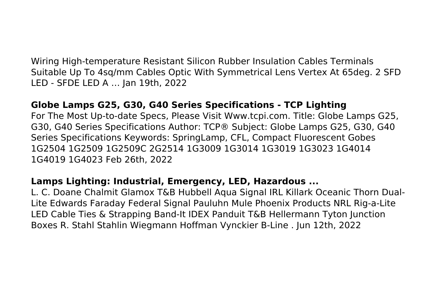Wiring High-temperature Resistant Silicon Rubber Insulation Cables Terminals Suitable Up To 4sq/mm Cables Optic With Symmetrical Lens Vertex At 65deg. 2 SFD LED - SFDE LED A … Jan 19th, 2022

#### **Globe Lamps G25, G30, G40 Series Specifications - TCP Lighting**

For The Most Up-to-date Specs, Please Visit Www.tcpi.com. Title: Globe Lamps G25, G30, G40 Series Specifications Author: TCP® Subject: Globe Lamps G25, G30, G40 Series Specifications Keywords: SpringLamp, CFL, Compact Fluorescent Gobes 1G2504 1G2509 1G2509C 2G2514 1G3009 1G3014 1G3019 1G3023 1G4014 1G4019 1G4023 Feb 26th, 2022

#### **Lamps Lighting: Industrial, Emergency, LED, Hazardous ...**

L. C. Doane Chalmit Glamox T&B Hubbell Aqua Signal IRL Killark Oceanic Thorn Dual-Lite Edwards Faraday Federal Signal Pauluhn Mule Phoenix Products NRL Rig-a-Lite LED Cable Ties & Strapping Band-It IDEX Panduit T&B Hellermann Tyton Junction Boxes R. Stahl Stahlin Wiegmann Hoffman Vynckier B-Line . Jun 12th, 2022